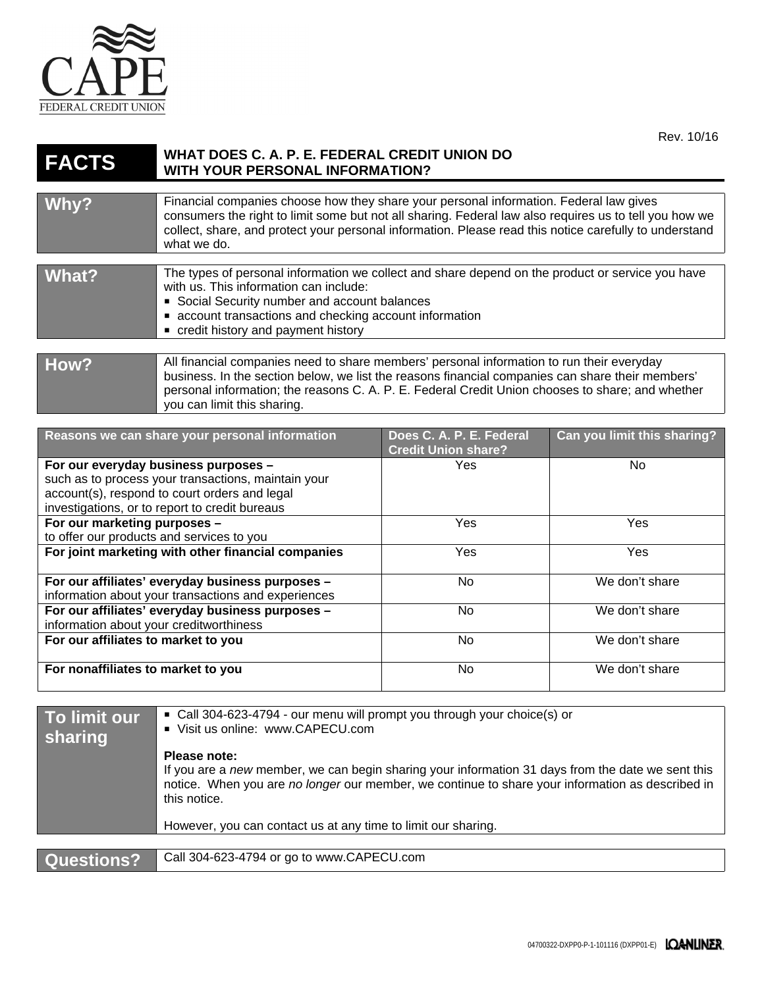

## **FACTS WHAT DOES C. A. P. E. FEDERAL CREDIT UNION DO WITH YOUR PERSONAL INFORMATION?**

| Why?  | Financial companies choose how they share your personal information. Federal law gives<br>consumers the right to limit some but not all sharing. Federal law also requires us to tell you how we<br>collect, share, and protect your personal information. Please read this notice carefully to understand<br>what we do.        |
|-------|----------------------------------------------------------------------------------------------------------------------------------------------------------------------------------------------------------------------------------------------------------------------------------------------------------------------------------|
|       |                                                                                                                                                                                                                                                                                                                                  |
| What? | The types of personal information we collect and share depend on the product or service you have<br>with us. This information can include:<br>Social Security number and account balances<br>• account transactions and checking account information<br>• credit history and payment history                                     |
|       |                                                                                                                                                                                                                                                                                                                                  |
| How?  | All financial companies need to share members' personal information to run their everyday<br>business. In the section below, we list the reasons financial companies can share their members'<br>personal information; the reasons C. A. P. E. Federal Credit Union chooses to share; and whether<br>you can limit this sharing. |

| Reasons we can share your personal information                                                       | Does C. A. P. E. Federal<br><b>Credit Union share?</b> | Can you limit this sharing? |
|------------------------------------------------------------------------------------------------------|--------------------------------------------------------|-----------------------------|
| For our everyday business purposes -                                                                 | Yes                                                    | No.                         |
| such as to process your transactions, maintain your<br>account(s), respond to court orders and legal |                                                        |                             |
| investigations, or to report to credit bureaus                                                       |                                                        |                             |
| For our marketing purposes -                                                                         | Yes                                                    | Yes                         |
| to offer our products and services to you                                                            |                                                        |                             |
| For joint marketing with other financial companies                                                   | Yes                                                    | Yes                         |
|                                                                                                      |                                                        |                             |
| For our affiliates' everyday business purposes -                                                     | No.                                                    | We don't share              |
| information about your transactions and experiences                                                  |                                                        |                             |
| For our affiliates' everyday business purposes -                                                     | No.                                                    | We don't share              |
| information about your creditworthiness                                                              |                                                        |                             |
| For our affiliates to market to you                                                                  | No                                                     | We don't share              |
|                                                                                                      |                                                        |                             |
| For nonaffiliates to market to you                                                                   | <b>No</b>                                              | We don't share              |
|                                                                                                      |                                                        |                             |

| To limit our<br>sharing | • Call 304-623-4794 - our menu will prompt you through your choice(s) or<br>Visit us online: www.CAPECU.com                                                                                                                           |  |
|-------------------------|---------------------------------------------------------------------------------------------------------------------------------------------------------------------------------------------------------------------------------------|--|
|                         | Please note:<br>If you are a new member, we can begin sharing your information 31 days from the date we sent this<br>notice. When you are no longer our member, we continue to share your information as described in<br>this notice. |  |
|                         | However, you can contact us at any time to limit our sharing.                                                                                                                                                                         |  |
|                         |                                                                                                                                                                                                                                       |  |
| Questions?              | Call 304-623-4794 or go to www.CAPECU.com                                                                                                                                                                                             |  |